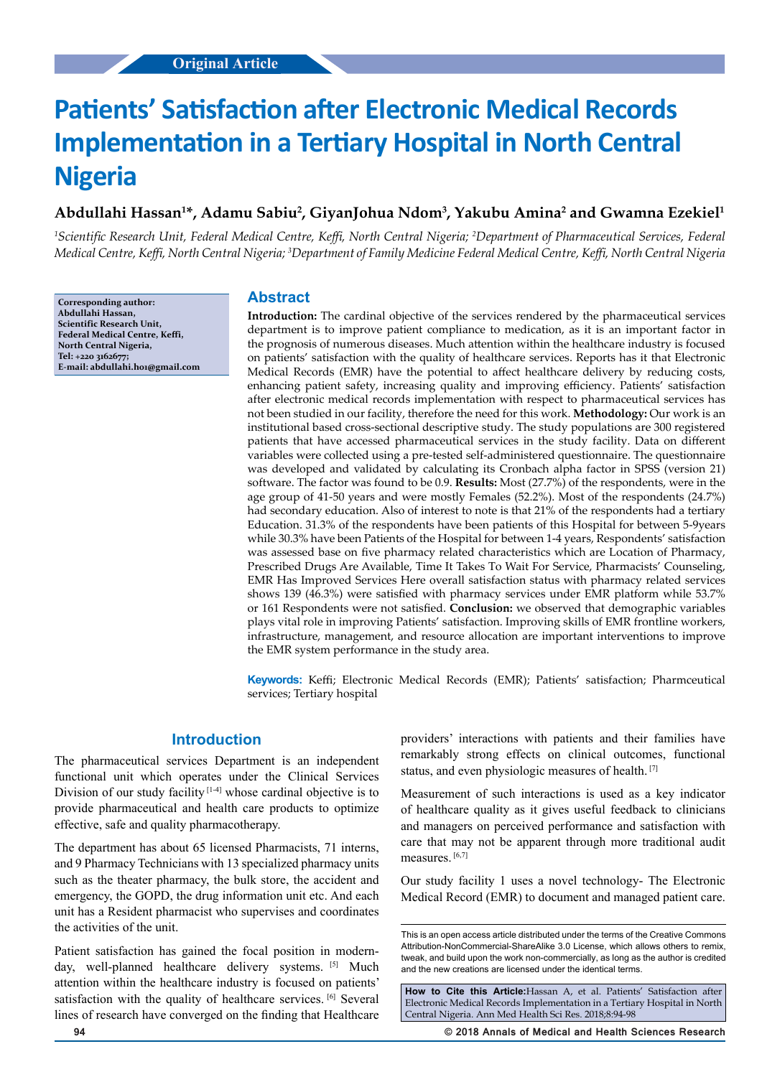# **Patients' Satisfaction after Electronic Medical Records Implementation in a Tertiary Hospital in North Central Nigeria**

# Abdullahi Hassan<sup>1</sup>\*, Adamu Sabiu<sup>2</sup>, GiyanJohua Ndom<sup>3</sup>, Yakubu Amina<sup>2</sup> and Gwamna Ezekiel<sup>1</sup>

<sup>1</sup>Scientific Research Unit, Federal Medical Centre, Keffi, North Central Nigeria; <sup>2</sup>Department of Pharmaceutical Services, Federal *Medical Centre, Keffi, North Central Nigeria; <sup>3</sup> Department of Family Medicine Federal Medical Centre, Keffi, North Central Nigeria*

**Corresponding author: Abdullahi Hassan, Scientific Research Unit, Federal Medical Centre, Keffi, North Central Nigeria, Tel: +220 3162677; E-mail: abdullahi.h01@gmail.com**

## **Abstract**

**Introduction:** The cardinal objective of the services rendered by the pharmaceutical services department is to improve patient compliance to medication, as it is an important factor in the prognosis of numerous diseases. Much attention within the healthcare industry is focused on patients' satisfaction with the quality of healthcare services. Reports has it that Electronic Medical Records (EMR) have the potential to affect healthcare delivery by reducing costs, enhancing patient safety, increasing quality and improving efficiency. Patients' satisfaction after electronic medical records implementation with respect to pharmaceutical services has not been studied in our facility, therefore the need for this work. **Methodology:** Our work is an institutional based cross-sectional descriptive study. The study populations are 300 registered patients that have accessed pharmaceutical services in the study facility. Data on different variables were collected using a pre-tested self-administered questionnaire. The questionnaire was developed and validated by calculating its Cronbach alpha factor in SPSS (version 21) software. The factor was found to be 0.9. **Results:** Most (27.7%) of the respondents, were in the age group of 41-50 years and were mostly Females (52.2%). Most of the respondents (24.7%) had secondary education. Also of interest to note is that 21% of the respondents had a tertiary Education. 31.3% of the respondents have been patients of this Hospital for between 5-9years while 30.3% have been Patients of the Hospital for between 1-4 years, Respondents' satisfaction was assessed base on five pharmacy related characteristics which are Location of Pharmacy, Prescribed Drugs Are Available, Time It Takes To Wait For Service, Pharmacists' Counseling, EMR Has Improved Services Here overall satisfaction status with pharmacy related services shows 139 (46.3%) were satisfied with pharmacy services under EMR platform while 53.7% or 161 Respondents were not satisfied. **Conclusion:** we observed that demographic variables plays vital role in improving Patients' satisfaction. Improving skills of EMR frontline workers, infrastructure, management, and resource allocation are important interventions to improve the EMR system performance in the study area.

**Keywords:** Keffi; Electronic Medical Records (EMR); Patients' satisfaction; Pharmceutical services; Tertiary hospital

## **Introduction**

The pharmaceutical services Department is an independent functional unit which operates under the Clinical Services Division of our study facility  $[1-4]$  whose cardinal objective is to provide pharmaceutical and health care products to optimize effective, safe and quality pharmacotherapy.

The department has about 65 licensed Pharmacists, 71 interns, and 9 Pharmacy Technicians with 13 specialized pharmacy units such as the theater pharmacy, the bulk store, the accident and emergency, the GOPD, the drug information unit etc. And each unit has a Resident pharmacist who supervises and coordinates the activities of the unit.

Patient satisfaction has gained the focal position in modernday, well-planned healthcare delivery systems. [5] Much attention within the healthcare industry is focused on patients' satisfaction with the quality of healthcare services. [6] Several lines of research have converged on the finding that Healthcare providers' interactions with patients and their families have remarkably strong effects on clinical outcomes, functional status, and even physiologic measures of health. [7]

Measurement of such interactions is used as a key indicator of healthcare quality as it gives useful feedback to clinicians and managers on perceived performance and satisfaction with care that may not be apparent through more traditional audit measures. [6,7]

Our study facility 1 uses a novel technology- The Electronic Medical Record (EMR) to document and managed patient care.

**How to Cite this Article:**Hassan A, et al. Patients' Satisfaction after Electronic Medical Records Implementation in a Tertiary Hospital in North Central Nigeria. Ann Med Health Sci Res. 2018;8:94-98

**94 © 2018 Annals of Medical and Health Sciences Research** 

This is an open access article distributed under the terms of the Creative Commons Attribution-NonCommercial-ShareAlike 3.0 License, which allows others to remix, tweak, and build upon the work non‑commercially, as long as the author is credited and the new creations are licensed under the identical terms.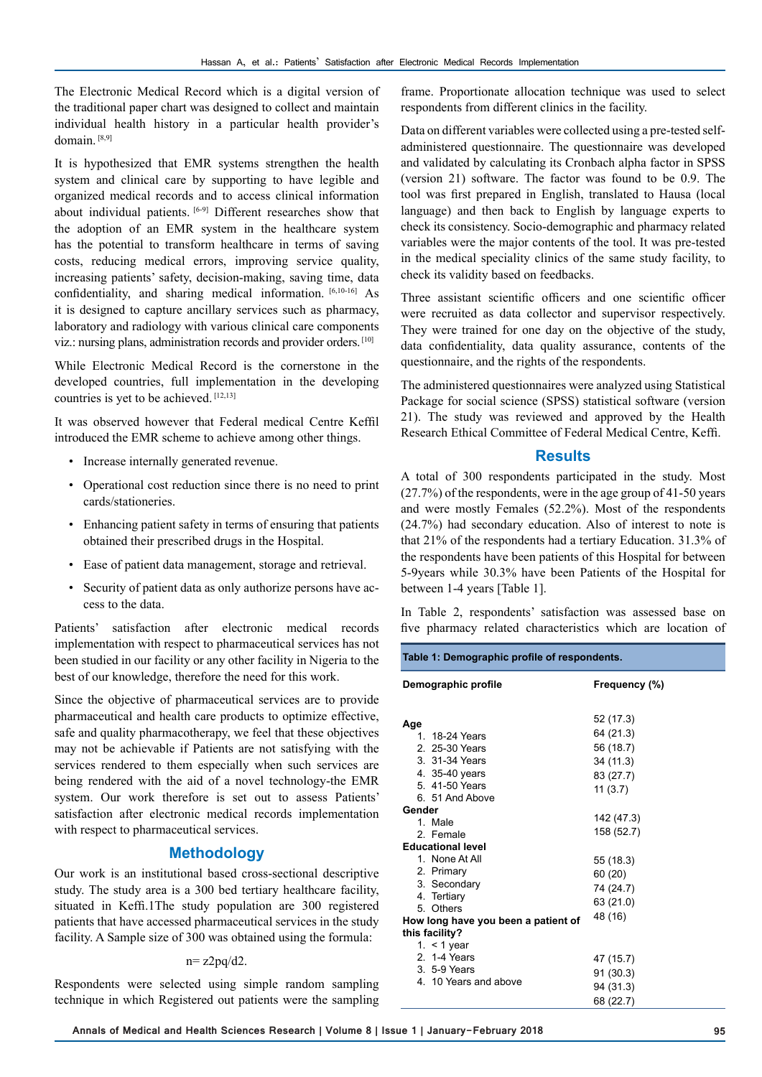The Electronic Medical Record which is a digital version of the traditional paper chart was designed to collect and maintain individual health history in a particular health provider's domain. [8,9]

It is hypothesized that EMR systems strengthen the health system and clinical care by supporting to have legible and organized medical records and to access clinical information about individual patients. [6-9] Different researches show that the adoption of an EMR system in the healthcare system has the potential to transform healthcare in terms of saving costs, reducing medical errors, improving service quality, increasing patients' safety, decision-making, saving time, data confidentiality, and sharing medical information. [6,10-16] As it is designed to capture ancillary services such as pharmacy, laboratory and radiology with various clinical care components viz.: nursing plans, administration records and provider orders. [10]

While Electronic Medical Record is the cornerstone in the developed countries, full implementation in the developing countries is yet to be achieved. [12,13]

It was observed however that Federal medical Centre Keffil introduced the EMR scheme to achieve among other things.

- Increase internally generated revenue.
- Operational cost reduction since there is no need to print cards/stationeries.
- Enhancing patient safety in terms of ensuring that patients obtained their prescribed drugs in the Hospital.
- Ease of patient data management, storage and retrieval.
- Security of patient data as only authorize persons have access to the data.

Patients' satisfaction after electronic medical records implementation with respect to pharmaceutical services has not been studied in our facility or any other facility in Nigeria to the best of our knowledge, therefore the need for this work.

Since the objective of pharmaceutical services are to provide pharmaceutical and health care products to optimize effective, safe and quality pharmacotherapy, we feel that these objectives may not be achievable if Patients are not satisfying with the services rendered to them especially when such services are being rendered with the aid of a novel technology-the EMR system. Our work therefore is set out to assess Patients' satisfaction after electronic medical records implementation with respect to pharmaceutical services.

# **Methodology**

Our work is an institutional based cross-sectional descriptive study. The study area is a 300 bed tertiary healthcare facility, situated in Keffi.1The study population are 300 registered patients that have accessed pharmaceutical services in the study facility. A Sample size of 300 was obtained using the formula:

#### $n = z2pq/d2$ .

Respondents were selected using simple random sampling technique in which Registered out patients were the sampling

frame. Proportionate allocation technique was used to select respondents from different clinics in the facility.

Data on different variables were collected using a pre-tested selfadministered questionnaire. The questionnaire was developed and validated by calculating its Cronbach alpha factor in SPSS (version 21) software. The factor was found to be 0.9. The tool was first prepared in English, translated to Hausa (local language) and then back to English by language experts to check its consistency. Socio-demographic and pharmacy related variables were the major contents of the tool. It was pre-tested in the medical speciality clinics of the same study facility, to check its validity based on feedbacks.

Three assistant scientific officers and one scientific officer were recruited as data collector and supervisor respectively. They were trained for one day on the objective of the study, data confidentiality, data quality assurance, contents of the questionnaire, and the rights of the respondents.

The administered questionnaires were analyzed using Statistical Package for social science (SPSS) statistical software (version 21). The study was reviewed and approved by the Health Research Ethical Committee of Federal Medical Centre, Keffi.

### **Results**

A total of 300 respondents participated in the study. Most (27.7%) of the respondents, were in the age group of 41-50 years and were mostly Females (52.2%). Most of the respondents (24.7%) had secondary education. Also of interest to note is that 21% of the respondents had a tertiary Education. 31.3% of the respondents have been patients of this Hospital for between 5-9years while 30.3% have been Patients of the Hospital for between 1-4 years [Table 1].

In Table 2, respondents' satisfaction was assessed base on five pharmacy related characteristics which are location of

| Table 1: Demographic profile of respondents. |                                                                                                                                                                                                      |                                                                                       |  |  |  |
|----------------------------------------------|------------------------------------------------------------------------------------------------------------------------------------------------------------------------------------------------------|---------------------------------------------------------------------------------------|--|--|--|
| Demographic profile                          |                                                                                                                                                                                                      | Frequency (%)                                                                         |  |  |  |
| Age                                          | 1. 18-24 Years<br>2. 25-30 Years<br>3. 31-34 Years<br>4. 35-40 years                                                                                                                                 | 52 (17.3)<br>64 (21.3)<br>56 (18.7)<br>34 (11.3)                                      |  |  |  |
|                                              | 5.41-50 Years<br>6. 51 And Above                                                                                                                                                                     | 83 (27.7)<br>11(3.7)                                                                  |  |  |  |
| Gender                                       | 1 Male<br>2 Female<br><b>Educational level</b><br>1. None At All<br>2. Primary<br>3. Secondary<br>4. Tertiary<br>5. Others<br>How long have you been a patient of<br>this facility?<br>1. $<$ 1 year | 142 (47.3)<br>158 (52.7)<br>55 (18.3)<br>60 (20)<br>74 (24.7)<br>63 (21.0)<br>48 (16) |  |  |  |
|                                              | 2. 1-4 Years<br>3. 5-9 Years<br>4. 10 Years and above                                                                                                                                                | 47 (15.7)<br>91 (30.3)<br>94 (31.3)<br>68 (22.7)                                      |  |  |  |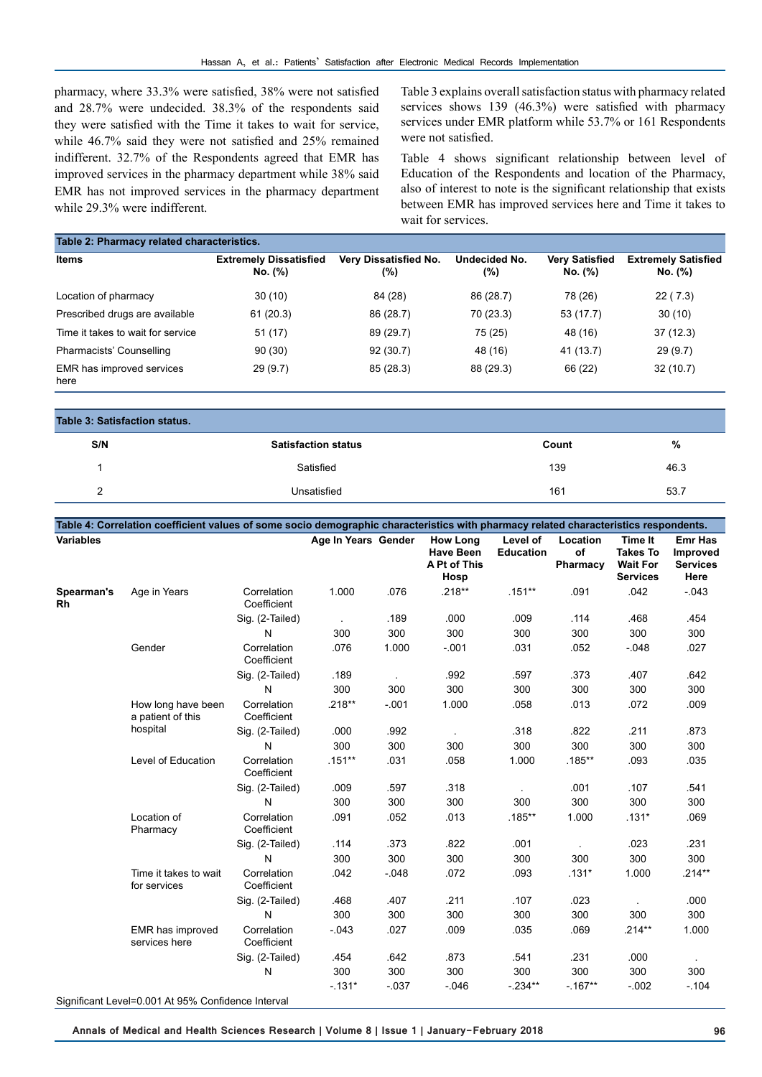pharmacy, where 33.3% were satisfied, 38% were not satisfied and 28.7% were undecided. 38.3% of the respondents said they were satisfied with the Time it takes to wait for service, while 46.7% said they were not satisfied and 25% remained indifferent. 32.7% of the Respondents agreed that EMR has improved services in the pharmacy department while 38% said EMR has not improved services in the pharmacy department while 29.3% were indifferent.

Table 3 explains overall satisfaction status with pharmacy related services shows 139 (46.3%) were satisfied with pharmacy services under EMR platform while 53.7% or 161 Respondents were not satisfied.

Table 4 shows significant relationship between level of Education of the Respondents and location of the Pharmacy, also of interest to note is the significant relationship that exists between EMR has improved services here and Time it takes to wait for services.

| Table 2: Pharmacy related characteristics. |                                          |                              |                         |                                  |                                       |  |  |
|--------------------------------------------|------------------------------------------|------------------------------|-------------------------|----------------------------------|---------------------------------------|--|--|
| <b>Items</b>                               | <b>Extremely Dissatisfied</b><br>No. (%) | Very Dissatisfied No.<br>(%) | Undecided No.<br>$(\%)$ | <b>Very Satisfied</b><br>No. (%) | <b>Extremely Satisfied</b><br>No. (%) |  |  |
| Location of pharmacy                       | 30(10)                                   | 84 (28)                      | 86 (28.7)               | 78 (26)                          | 22(7.3)                               |  |  |
| Prescribed drugs are available             | 61(20.3)                                 | 86 (28.7)                    | 70 (23.3)               | 53(17.7)                         | 30(10)                                |  |  |
| Time it takes to wait for service          | 51(17)                                   | 89 (29.7)                    | 75 (25)                 | 48 (16)                          | 37(12.3)                              |  |  |
| Pharmacists' Counselling                   | 90(30)                                   | 92(30.7)                     | 48 (16)                 | 41 (13.7)                        | 29(9.7)                               |  |  |
| EMR has improved services<br>here          | 29(9.7)                                  | 85(28.3)                     | 88 (29.3)               | 66 (22)                          | 32(10.7)                              |  |  |

| Table 3: Satisfaction status. |                            |       |      |  |  |  |
|-------------------------------|----------------------------|-------|------|--|--|--|
| S/N                           | <b>Satisfaction status</b> | Count | %    |  |  |  |
|                               | Satisfied                  | 139   | 46.3 |  |  |  |
|                               | Unsatisfied                | 161   | 53.7 |  |  |  |

| Table 4: Correlation coefficient values of some socio demographic characteristics with pharmacy related characteristics respondents. |                                                    |                            |                     |          |                                                             |                              |                            |                                                                  |                                                       |
|--------------------------------------------------------------------------------------------------------------------------------------|----------------------------------------------------|----------------------------|---------------------|----------|-------------------------------------------------------------|------------------------------|----------------------------|------------------------------------------------------------------|-------------------------------------------------------|
| <b>Variables</b>                                                                                                                     |                                                    |                            | Age In Years Gender |          | <b>How Long</b><br><b>Have Been</b><br>A Pt of This<br>Hosp | Level of<br><b>Education</b> | Location<br>of<br>Pharmacy | Time It<br><b>Takes To</b><br><b>Wait For</b><br><b>Services</b> | <b>Emr Has</b><br>Improved<br><b>Services</b><br>Here |
| Spearman's<br>Rh                                                                                                                     | Age in Years                                       | Correlation<br>Coefficient | 1.000               | .076     | $.218**$                                                    | $.151**$                     | .091                       | .042                                                             | $-043$                                                |
|                                                                                                                                      |                                                    | Sig. (2-Tailed)            |                     | .189     | .000                                                        | .009                         | .114                       | .468                                                             | .454                                                  |
|                                                                                                                                      |                                                    | N                          | 300                 | 300      | 300                                                         | 300                          | 300                        | 300                                                              | 300                                                   |
|                                                                                                                                      | Gender                                             | Correlation<br>Coefficient | .076                | 1.000    | $-.001$                                                     | .031                         | .052                       | $-0.048$                                                         | .027                                                  |
|                                                                                                                                      |                                                    | Sig. (2-Tailed)            | .189                |          | .992                                                        | .597                         | .373                       | .407                                                             | .642                                                  |
|                                                                                                                                      |                                                    | N                          | 300                 | 300      | 300                                                         | 300                          | 300                        | 300                                                              | 300                                                   |
|                                                                                                                                      | How long have been<br>a patient of this            | Correlation<br>Coefficient | $.218**$            | $-001$   | 1.000                                                       | .058                         | .013                       | .072                                                             | .009                                                  |
|                                                                                                                                      | hospital                                           | Sig. (2-Tailed)            | .000                | .992     |                                                             | .318                         | .822                       | .211                                                             | .873                                                  |
|                                                                                                                                      |                                                    | N                          | 300                 | 300      | 300                                                         | 300                          | 300                        | 300                                                              | 300                                                   |
|                                                                                                                                      | Level of Education                                 | Correlation<br>Coefficient | $.151***$           | .031     | .058                                                        | 1.000                        | $.185***$                  | .093                                                             | .035                                                  |
|                                                                                                                                      |                                                    | Sig. (2-Tailed)            | .009                | .597     | .318                                                        |                              | .001                       | .107                                                             | .541                                                  |
|                                                                                                                                      |                                                    | N                          | 300                 | 300      | 300                                                         | 300                          | 300                        | 300                                                              | 300                                                   |
|                                                                                                                                      | Location of<br>Pharmacy                            | Correlation<br>Coefficient | .091                | .052     | .013                                                        | $.185***$                    | 1.000                      | $.131*$                                                          | .069                                                  |
|                                                                                                                                      |                                                    | Sig. (2-Tailed)            | .114                | .373     | .822                                                        | .001                         |                            | .023                                                             | .231                                                  |
|                                                                                                                                      |                                                    | N                          | 300                 | 300      | 300                                                         | 300                          | 300                        | 300                                                              | 300                                                   |
|                                                                                                                                      | Time it takes to wait<br>for services              | Correlation<br>Coefficient | .042                | $-0.048$ | .072                                                        | .093                         | $.131*$                    | 1.000                                                            | $.214**$                                              |
|                                                                                                                                      |                                                    | Sig. (2-Tailed)            | .468                | .407     | .211                                                        | .107                         | .023                       |                                                                  | .000                                                  |
|                                                                                                                                      |                                                    | N                          | 300                 | 300      | 300                                                         | 300                          | 300                        | 300                                                              | 300                                                   |
|                                                                                                                                      | EMR has improved<br>services here                  | Correlation<br>Coefficient | $-0.043$            | .027     | .009                                                        | .035                         | .069                       | $.214**$                                                         | 1.000                                                 |
|                                                                                                                                      |                                                    | Sig. (2-Tailed)            | .454                | .642     | .873                                                        | .541                         | .231                       | .000                                                             |                                                       |
|                                                                                                                                      |                                                    | N                          | 300                 | 300      | 300                                                         | 300                          | 300                        | 300                                                              | 300                                                   |
|                                                                                                                                      |                                                    |                            | $-131*$             | $-037$   | $-0.46$                                                     | $-234**$                     | $-167**$                   | $-0.002$                                                         | $-104$                                                |
|                                                                                                                                      | Significant Level=0.001 At 95% Confidence Interval |                            |                     |          |                                                             |                              |                            |                                                                  |                                                       |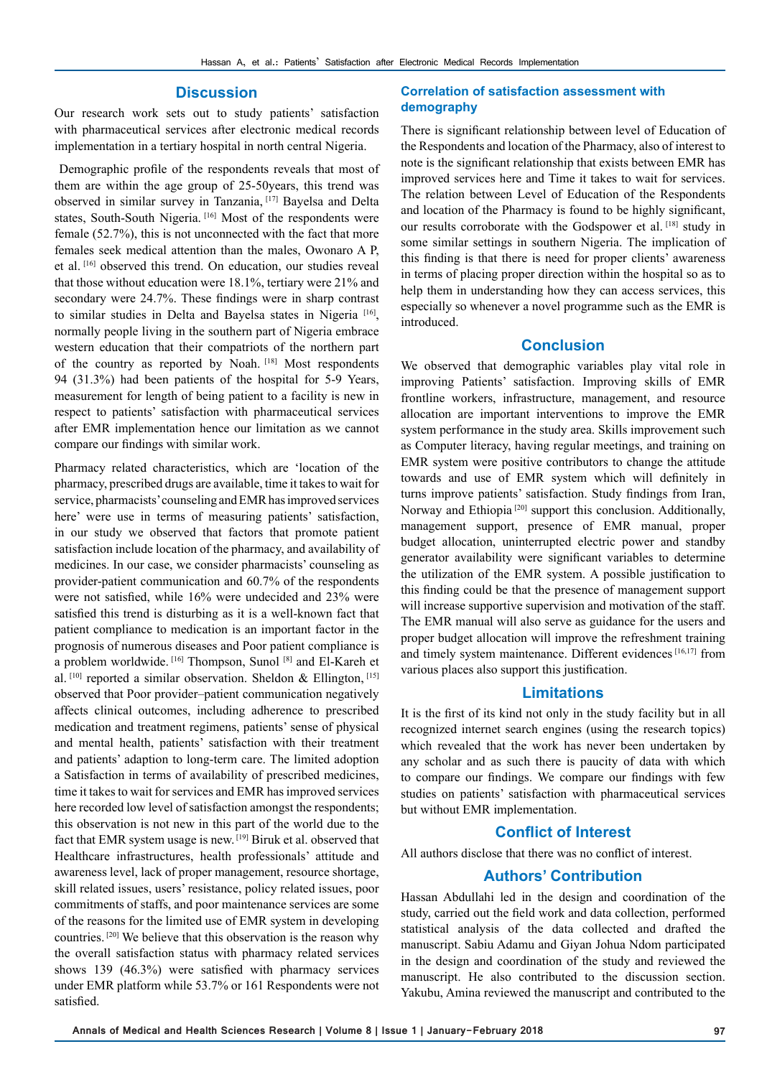#### **Discussion**

Our research work sets out to study patients' satisfaction with pharmaceutical services after electronic medical records implementation in a tertiary hospital in north central Nigeria.

 Demographic profile of the respondents reveals that most of them are within the age group of 25-50years, this trend was observed in similar survey in Tanzania, [17] Bayelsa and Delta states, South-South Nigeria. [16] Most of the respondents were female (52.7%), this is not unconnected with the fact that more females seek medical attention than the males, Owonaro A P, et al. [16] observed this trend. On education, our studies reveal that those without education were 18.1%, tertiary were 21% and secondary were 24.7%. These findings were in sharp contrast to similar studies in Delta and Bayelsa states in Nigeria<sup>[16]</sup>, normally people living in the southern part of Nigeria embrace western education that their compatriots of the northern part of the country as reported by Noah. [18] Most respondents 94 (31.3%) had been patients of the hospital for 5-9 Years, measurement for length of being patient to a facility is new in respect to patients' satisfaction with pharmaceutical services after EMR implementation hence our limitation as we cannot compare our findings with similar work.

Pharmacy related characteristics, which are 'location of the pharmacy, prescribed drugs are available, time it takes to wait for service, pharmacists' counseling and EMR has improved services here' were use in terms of measuring patients' satisfaction, in our study we observed that factors that promote patient satisfaction include location of the pharmacy, and availability of medicines. In our case, we consider pharmacists' counseling as provider-patient communication and 60.7% of the respondents were not satisfied, while 16% were undecided and 23% were satisfied this trend is disturbing as it is a well-known fact that patient compliance to medication is an important factor in the prognosis of numerous diseases and Poor patient compliance is a problem worldwide. [16] Thompson, Sunol [8] and El-Kareh et al.  $[10]$  reported a similar observation. Sheldon & Ellington,  $[15]$ observed that Poor provider–patient communication negatively affects clinical outcomes, including adherence to prescribed medication and treatment regimens, patients' sense of physical and mental health, patients' satisfaction with their treatment and patients' adaption to long-term care. The limited adoption a Satisfaction in terms of availability of prescribed medicines, time it takes to wait for services and EMR has improved services here recorded low level of satisfaction amongst the respondents; this observation is not new in this part of the world due to the fact that EMR system usage is new. [19] Biruk et al. observed that Healthcare infrastructures, health professionals' attitude and awareness level, lack of proper management, resource shortage, skill related issues, users' resistance, policy related issues, poor commitments of staffs, and poor maintenance services are some of the reasons for the limited use of EMR system in developing countries. [20] We believe that this observation is the reason why the overall satisfaction status with pharmacy related services shows 139 (46.3%) were satisfied with pharmacy services under EMR platform while 53.7% or 161 Respondents were not satisfied.

#### **Correlation of satisfaction assessment with demography**

There is significant relationship between level of Education of the Respondents and location of the Pharmacy, also of interest to note is the significant relationship that exists between EMR has improved services here and Time it takes to wait for services. The relation between Level of Education of the Respondents and location of the Pharmacy is found to be highly significant, our results corroborate with the Godspower et al. [18] study in some similar settings in southern Nigeria. The implication of this finding is that there is need for proper clients' awareness in terms of placing proper direction within the hospital so as to help them in understanding how they can access services, this especially so whenever a novel programme such as the EMR is introduced.

### **Conclusion**

We observed that demographic variables play vital role in improving Patients' satisfaction. Improving skills of EMR frontline workers, infrastructure, management, and resource allocation are important interventions to improve the EMR system performance in the study area. Skills improvement such as Computer literacy, having regular meetings, and training on EMR system were positive contributors to change the attitude towards and use of EMR system which will definitely in turns improve patients' satisfaction. Study findings from Iran, Norway and Ethiopia<sup>[20]</sup> support this conclusion. Additionally, management support, presence of EMR manual, proper budget allocation, uninterrupted electric power and standby generator availability were significant variables to determine the utilization of the EMR system. A possible justification to this finding could be that the presence of management support will increase supportive supervision and motivation of the staff. The EMR manual will also serve as guidance for the users and proper budget allocation will improve the refreshment training and timely system maintenance. Different evidences [16,17] from various places also support this justification.

# **Limitations**

It is the first of its kind not only in the study facility but in all recognized internet search engines (using the research topics) which revealed that the work has never been undertaken by any scholar and as such there is paucity of data with which to compare our findings. We compare our findings with few studies on patients' satisfaction with pharmaceutical services but without EMR implementation.

### **Conflict of Interest**

All authors disclose that there was no conflict of interest.

## **Authors' Contribution**

Hassan Abdullahi led in the design and coordination of the study, carried out the field work and data collection, performed statistical analysis of the data collected and drafted the manuscript. Sabiu Adamu and Giyan Johua Ndom participated in the design and coordination of the study and reviewed the manuscript. He also contributed to the discussion section. Yakubu, Amina reviewed the manuscript and contributed to the